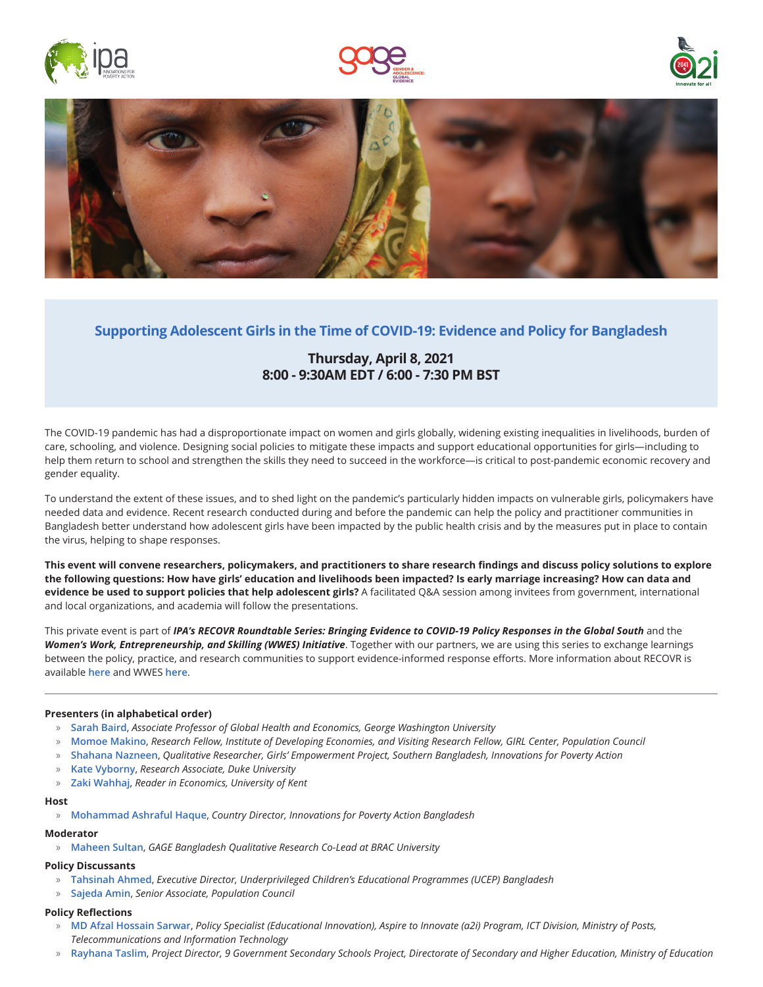







# **[Supporting Adolescent Girls in the Time of COVID-19: Evidence and Policy for Bangladesh](https://us02web.zoom.us/meeting/register/tZclf-uurz8uGdx53fMwcTJ94GlNMfjHVT37)**

# **Thursday, April 8, 2021 8:00 - 9:30AM EDT / 6:00 - 7:30 PM BST**

The COVID-19 pandemic has had a disproportionate impact on women and girls globally, widening existing inequalities in livelihoods, burden of care, schooling, and violence. Designing social policies to mitigate these impacts and support educational opportunities for girls—including to help them return to school and strengthen the skills they need to succeed in the workforce—is critical to post-pandemic economic recovery and gender equality.

To understand the extent of these issues, and to shed light on the pandemic's particularly hidden impacts on vulnerable girls, policymakers have needed data and evidence. Recent research conducted during and before the pandemic can help the policy and practitioner communities in Bangladesh better understand how adolescent girls have been impacted by the public health crisis and by the measures put in place to contain the virus, helping to shape responses.

**This event will convene researchers, policymakers, and practitioners to share research findings and discuss policy solutions to explore the following questions: How have girls' education and livelihoods been impacted? Is early marriage increasing? How can data and evidence be used to support policies that help adolescent girls?** A facilitated Q&A session among invitees from government, international and local organizations, and academia will follow the presentations.

This private event is part of *IPA's RECOVR Roundtable Series: Bringing Evidence to COVID-19 Policy Responses in the Global South* and the *Women's Work, Entrepreneurship, and Skilling (WWES) Initiative*. Together with our partners, we are using this series to exchange learnings between the policy, practice, and research communities to support evidence-informed response efforts. More information about RECOVR is available **[here](https://www.poverty-action.org/recovr)** and WWES **[here](https://www.poverty-action.org/program-area/small-and-medium-enterprises/wwes-initiative)**.

### **Presenters (in alphabetical order)**

- » **[Sarah Baird](https://www.poverty-action.org/people/sarah-baird)**, *Associate Professor of Global Health and Economics, George Washington University*
- » **[Momoe Makino](https://www.popcouncil.org/research/expert/momoe-makino)**, *Research Fellow, Institute of Developing Economies, and Visiting Research Fellow, GIRL Center, Population Council*
- » **[Shahana Nazneen](https://www.poverty-action.org/people/shahana-nazneen)**, *Qualitative Researcher, Girls' Empowerment Project, Southern Bangladesh, Innovations for Poverty Action*
- » **[Kate Vyborny](https://www.poverty-action.org/people/kate-vyborny)**, *Research Associate, Duke University*
- » **[Zaki Wahhaj](https://www.poverty-action.org/people/zaki-wahhaj)**, *Reader in Economics, University of Kent*

#### **Host**

» **[Mohammad Ashraful Haque](https://www.poverty-action.org/people/mohammad-ashraful-haque)**, *Country Director, Innovations for Poverty Action Bangladesh*

#### **Moderator**

» **[Maheen Sultan](https://www.gage.odi.org/people/maheen-sultan/)**, *GAGE Bangladesh Qualitative Research Co-Lead at BRAC University*

### **Policy Discussants**

- » **[Tahsinah Ahmed](http://www.uist.edu.bd/governance-managemen/)**, *Executive Director, Underprivileged Children's Educational Programmes (UCEP) Bangladesh*
- » **[Sajeda Amin](https://www.popcouncil.org/research/expert/sajeda-amin)**, *Senior Associate, Population Council*

### **Policy Reflections**

- » **[MD Afzal Hossain Sarwar](https://a2i.gov.bd/employee/md-afzal-hossain-sarwar/)**, *Policy Specialist (Educational Innovation), Aspire to Innovate (a2i) Program, ICT Division, Ministry of Posts, Telecommunications and Information Technology*
- » **Rayhana Taslim**, *Project Director, 9 Government Secondary Schools Project, Directorate of Secondary and Higher Education, Ministry of Education*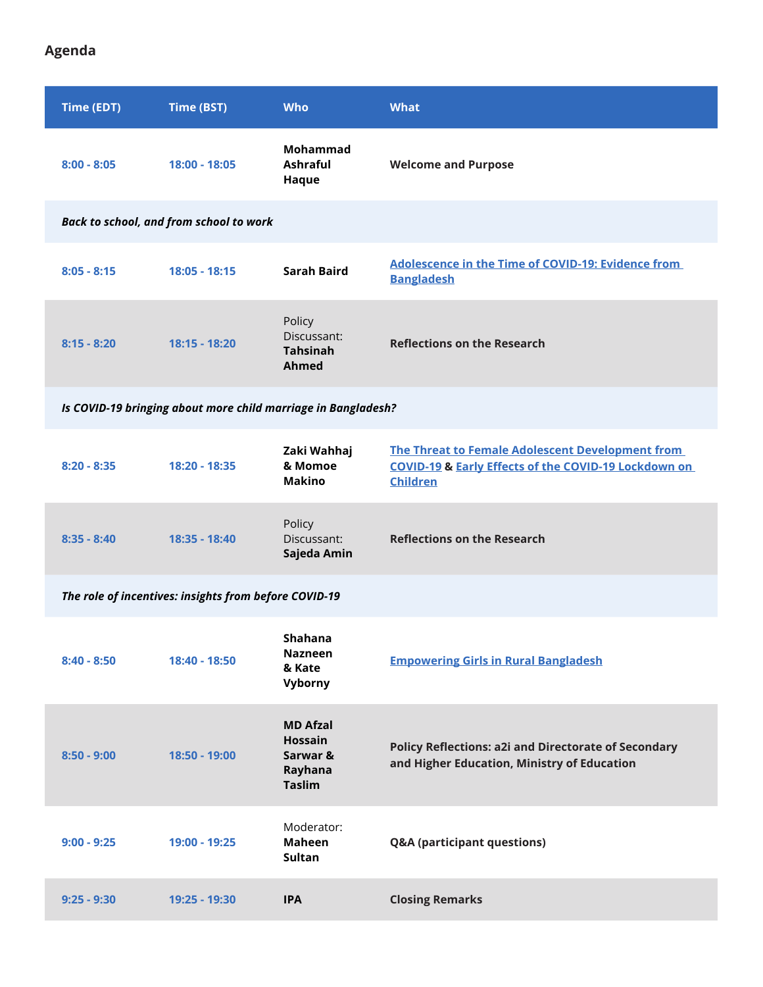**Agenda**

| Time (EDT)                                                    | Time (BST)      | <b>Who</b>                                                                | <b>What</b>                                                                                                                            |
|---------------------------------------------------------------|-----------------|---------------------------------------------------------------------------|----------------------------------------------------------------------------------------------------------------------------------------|
| $8:00 - 8:05$                                                 | 18:00 - 18:05   | Mohammad<br>Ashraful<br>Haque                                             | <b>Welcome and Purpose</b>                                                                                                             |
| Back to school, and from school to work                       |                 |                                                                           |                                                                                                                                        |
| $8:05 - 8:15$                                                 | $18:05 - 18:15$ | <b>Sarah Baird</b>                                                        | Adolescence in the Time of COVID-19: Evidence from<br><b>Bangladesh</b>                                                                |
| $8:15 - 8:20$                                                 | 18:15 - 18:20   | Policy<br>Discussant:<br><b>Tahsinah</b><br>Ahmed                         | <b>Reflections on the Research</b>                                                                                                     |
| Is COVID-19 bringing about more child marriage in Bangladesh? |                 |                                                                           |                                                                                                                                        |
| $8:20 - 8:35$                                                 | 18:20 - 18:35   | Zaki Wahhaj<br>& Momoe<br><b>Makino</b>                                   | The Threat to Female Adolescent Development from<br><b>COVID-19 &amp; Early Effects of the COVID-19 Lockdown on</b><br><b>Children</b> |
| $8:35 - 8:40$                                                 | 18:35 - 18:40   | Policy<br>Discussant:<br>Sajeda Amin                                      | <b>Reflections on the Research</b>                                                                                                     |
| The role of incentives: insights from before COVID-19         |                 |                                                                           |                                                                                                                                        |
| $8:40 - 8:50$                                                 | 18:40 - 18:50   | Shahana<br><b>Nazneen</b><br>& Kate<br>Vyborny                            | <b>Empowering Girls in Rural Bangladesh</b>                                                                                            |
| $8:50 - 9:00$                                                 | 18:50 - 19:00   | <b>MD Afzal</b><br><b>Hossain</b><br>Sarwar &<br>Rayhana<br><b>Taslim</b> | <b>Policy Reflections: a2i and Directorate of Secondary</b><br>and Higher Education, Ministry of Education                             |
| $9:00 - 9:25$                                                 | 19:00 - 19:25   | Moderator:<br><b>Maheen</b><br><b>Sultan</b>                              | Q&A (participant questions)                                                                                                            |
| $9:25 - 9:30$                                                 | 19:25 - 19:30   | <b>IPA</b>                                                                | <b>Closing Remarks</b>                                                                                                                 |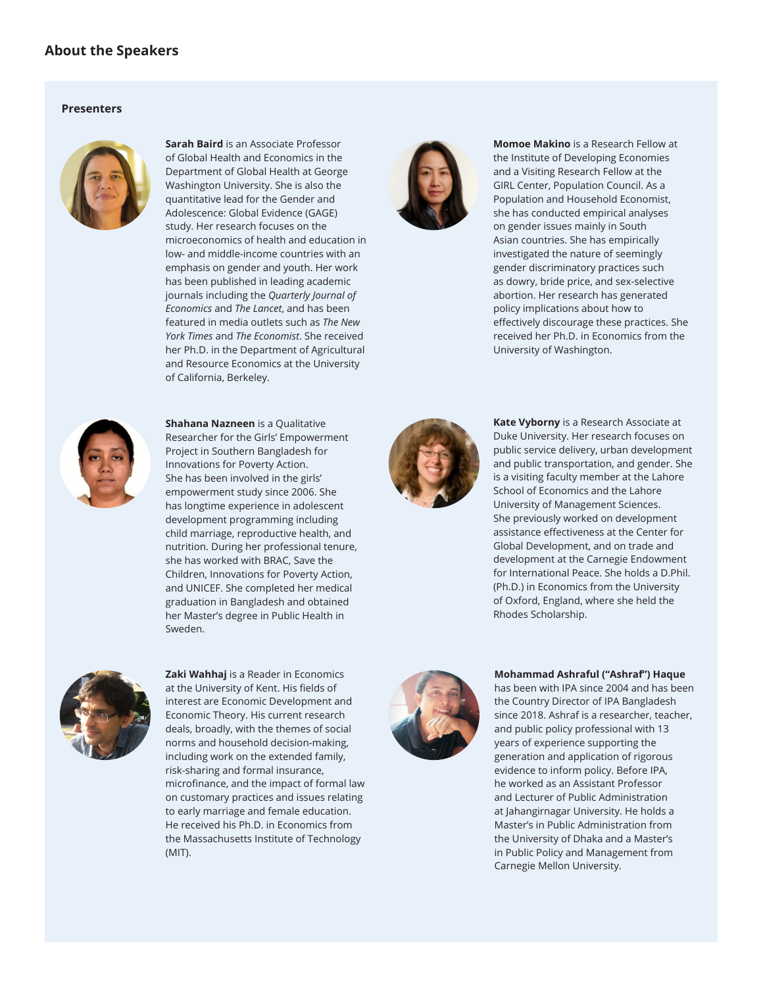# **About the Speakers**

### **Presenters**



of Global Health and Economics in the Department of Global Health at George Washington University. She is also the quantitative lead for the Gender and Adolescence: Global Evidence (GAGE) study. Her research focuses on the microeconomics of health and education in low- and middle-income countries with an emphasis on gender and youth. Her work has been published in leading academic journals including the *Quarterly Journal of Economics* and *The Lancet*, and has been featured in media outlets such as *The New York Times* and *The Economist*. She received her Ph.D. in the Department of Agricultural and Resource Economics at the University of California, Berkeley.

**Sarah Baird** is an Associate Professor



**Momoe Makino** is a Research Fellow at the Institute of Developing Economies and a Visiting Research Fellow at the GIRL Center, Population Council. As a Population and Household Economist, she has conducted empirical analyses on gender issues mainly in South Asian countries. She has empirically investigated the nature of seemingly gender discriminatory practices such as dowry, bride price, and sex-selective abortion. Her research has generated policy implications about how to effectively discourage these practices. She received her Ph.D. in Economics from the University of Washington.



**Shahana Nazneen** is a Qualitative Researcher for the Girls' Empowerment Project in Southern Bangladesh for Innovations for Poverty Action. She has been involved in the girls' empowerment study since 2006. She has longtime experience in adolescent development programming including child marriage, reproductive health, and nutrition. During her professional tenure, she has worked with BRAC, Save the Children, Innovations for Poverty Action, and UNICEF. She completed her medical graduation in Bangladesh and obtained her Master's degree in Public Health in Sweden.



**Kate Vyborny** is a Research Associate at Duke University. Her research focuses on public service delivery, urban development and public transportation, and gender. She is a visiting faculty member at the Lahore School of Economics and the Lahore University of Management Sciences. She previously worked on development assistance effectiveness at the Center for Global Development, and on trade and development at the Carnegie Endowment for International Peace. She holds a D.Phil. (Ph.D.) in Economics from the University of Oxford, England, where she held the Rhodes Scholarship.



**Zaki Wahhaj** is a Reader in Economics at the University of Kent. His fields of interest are Economic Development and Economic Theory. His current research deals, broadly, with the themes of social norms and household decision-making, including work on the extended family, risk-sharing and formal insurance, microfinance, and the impact of formal law on customary practices and issues relating to early marriage and female education. He received his Ph.D. in Economics from the Massachusetts Institute of Technology (MIT).



#### **Mohammad Ashraful ("Ashraf") Haque**

has been with IPA since 2004 and has been the Country Director of IPA Bangladesh since 2018. Ashraf is a researcher, teacher, and public policy professional with 13 years of experience supporting the generation and application of rigorous evidence to inform policy. Before IPA, he worked as an Assistant Professor and Lecturer of Public Administration at Jahangirnagar University. He holds a Master's in Public Administration from the University of Dhaka and a Master's in Public Policy and Management from Carnegie Mellon University.